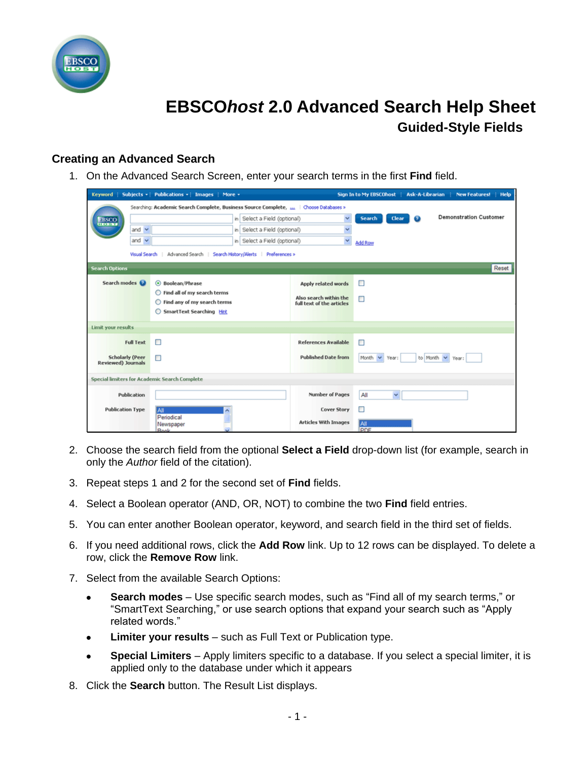

## **EBSCO***host* **2.0 Advanced Search Help Sheet Guided-Style Fields**

## **Creating an Advanced Search**

1. On the Advanced Search Screen, enter your search terms in the first **Find** field.

| <b>Keyword</b>                                                                          |                  | Subjects -   Publications -   Images   More -                     |                                              |                                                     | Sign In to My EBSCOhost | Ask-A-Librarian | <b>New Features!</b><br><b>Help</b> |  |
|-----------------------------------------------------------------------------------------|------------------|-------------------------------------------------------------------|----------------------------------------------|-----------------------------------------------------|-------------------------|-----------------|-------------------------------------|--|
| Searching: Academic Search Complete, Business Source Complete, 111   Choose Databases > |                  |                                                                   |                                              |                                                     |                         |                 |                                     |  |
| <b>EBSCO</b>                                                                            |                  |                                                                   | in Select a Field (optional)<br>$\checkmark$ |                                                     | Search<br>Clear         | ø               | <b>Demonstration Customer</b>       |  |
|                                                                                         | and $\vee$       |                                                                   | in Select a Field (optional)                 | $\checkmark$                                        |                         |                 |                                     |  |
|                                                                                         | and $\vee$       |                                                                   | in Select a Field (optional)                 | Y                                                   | <b>Add Row</b>          |                 |                                     |  |
|                                                                                         | Visual Search    | Advanced Search                                                   | Search History/Alerts   Preferences >        |                                                     |                         |                 |                                     |  |
| Reset<br><b>Search Options</b>                                                          |                  |                                                                   |                                              |                                                     |                         |                 |                                     |  |
| Search modes                                                                            | ⊙ Boolean/Phrase |                                                                   |                                              | Apply related words                                 | п                       |                 |                                     |  |
|                                                                                         |                  | ◯ Find all of my search terms<br>Find any of my search terms<br>O |                                              | Also search within the<br>full text of the articles | □                       |                 |                                     |  |
|                                                                                         |                  | SmartText Searching Hint<br>O                                     |                                              |                                                     |                         |                 |                                     |  |
| Limit your results                                                                      |                  |                                                                   |                                              |                                                     |                         |                 |                                     |  |
|                                                                                         | <b>Full Text</b> | п                                                                 |                                              | <b>References Available</b>                         | □                       |                 |                                     |  |
| <b>Scholarly (Peer</b><br><b>Reviewed) Journals</b>                                     |                  | □                                                                 |                                              | <b>Published Date from</b>                          | Month<br>Year:<br>v     | to Month        | Year:                               |  |
| Special limiters for Academic Search Complete                                           |                  |                                                                   |                                              |                                                     |                         |                 |                                     |  |
| Publication                                                                             |                  |                                                                   |                                              | <b>Number of Pages</b>                              | $\checkmark$<br>All     |                 |                                     |  |
| <b>Publication Type</b>                                                                 | All<br>۸         |                                                                   |                                              | <b>Cover Story</b>                                  | □                       |                 |                                     |  |
|                                                                                         |                  | Periodical<br>Newspaper<br>Rook                                   |                                              | <b>Articles With Images</b>                         | All<br>PDF              |                 |                                     |  |

- 2. Choose the search field from the optional **Select a Field** drop-down list (for example, search in only the *Author* field of the citation).
- 3. Repeat steps 1 and 2 for the second set of **Find** fields.
- 4. Select a Boolean operator (AND, OR, NOT) to combine the two **Find** field entries.
- 5. You can enter another Boolean operator, keyword, and search field in the third set of fields.
- 6. If you need additional rows, click the **Add Row** link. Up to 12 rows can be displayed. To delete a row, click the **Remove Row** link.
- 7. Select from the available Search Options:
	- **Search modes** Use specific search modes, such as "Find all of my search terms," or  $\bullet$ "SmartText Searching," or use search options that expand your search such as "Apply related words."
	- **Limiter your results** such as Full Text or Publication type.  $\bullet$
	- **Special Limiters**  Apply limiters specific to a database. If you select a special limiter, it is  $\bullet$ applied only to the database under which it appears
- 8. Click the **Search** button. The Result List displays.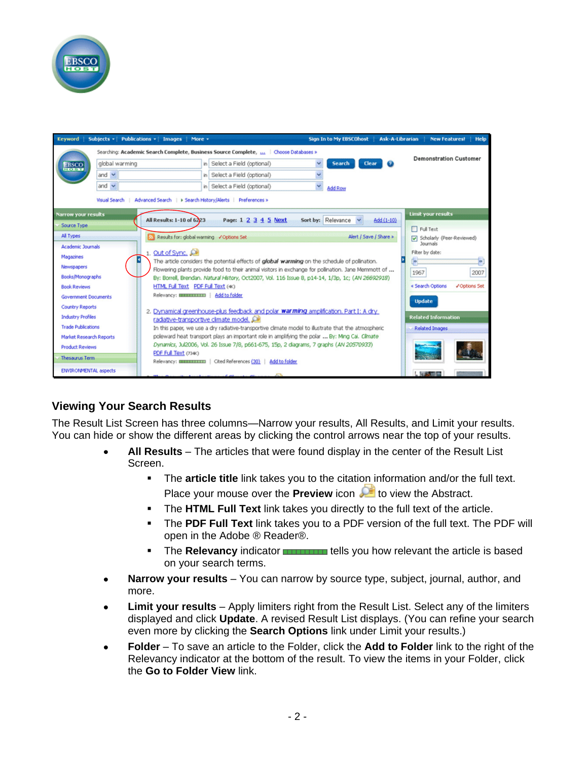



## **Viewing Your Search Results**

The Result List Screen has three columns—Narrow your results, All Results, and Limit your results. You can hide or show the different areas by clicking the control arrows near the top of your results.

- **All Results** The articles that were found display in the center of the Result List Screen.
	- The **article title** link takes you to the citation information and/or the full text. Place your mouse over the **Preview** icon **All** to view the Abstract.
	- The **HTML Full Text** link takes you directly to the full text of the article.
	- The **PDF Full Text** link takes you to a PDF version of the full text. The PDF will open in the Adobe ® Reader®.
	- **The Relevancy** indicator **Tells** you how relevant the article is based on your search terms.
- **Narrow your results** You can narrow by source type, subject, journal, author, and  $\bullet$ more.
- **Limit your results**  Apply limiters right from the Result List. Select any of the limiters displayed and click **Update**. A revised Result List displays. (You can refine your search even more by clicking the **Search Options** link under Limit your results.)
- **Folder**  To save an article to the Folder, click the **Add to Folder** link to the right of the  $\bullet$ Relevancy indicator at the bottom of the result. To view the items in your Folder, click the **Go to Folder View** link.